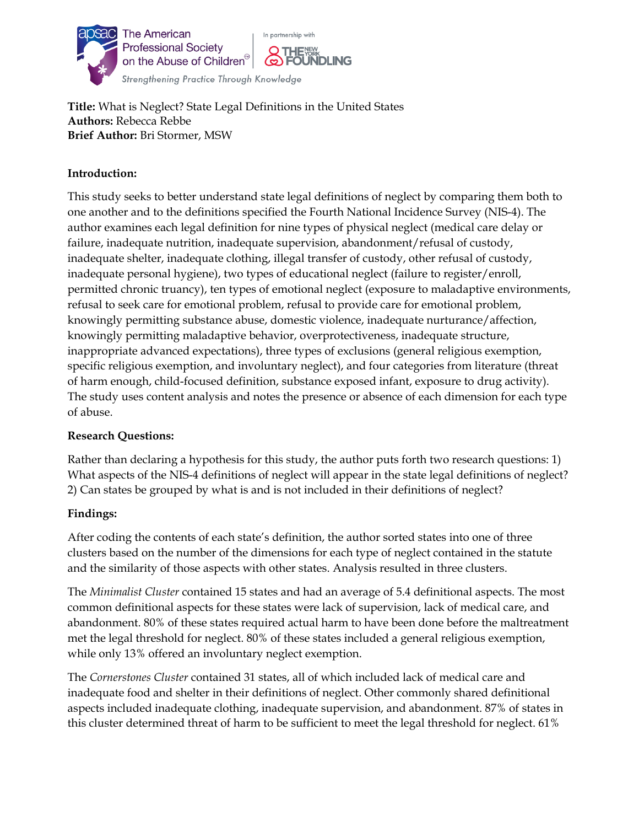

 **Title:** What is Neglect? State Legal Definitions in the United States **Authors:** Rebecca Rebbe **Brief Author:** Bri Stormer, MSW

## **Introduction:**

This study seeks to better understand state legal definitions of neglect by comparing them both to one another and to the definitions specified the Fourth National Incidence Survey (NIS-4). The author examines each legal definition for nine types of physical neglect (medical care delay or failure, inadequate nutrition, inadequate supervision, abandonment/refusal of custody, inadequate shelter, inadequate clothing, illegal transfer of custody, other refusal of custody, inadequate personal hygiene), two types of educational neglect (failure to register/enroll, permitted chronic truancy), ten types of emotional neglect (exposure to maladaptive environments, refusal to seek care for emotional problem, refusal to provide care for emotional problem, knowingly permitting substance abuse, domestic violence, inadequate nurturance/affection, knowingly permitting maladaptive behavior, overprotectiveness, inadequate structure, inappropriate advanced expectations), three types of exclusions (general religious exemption, specific religious exemption, and involuntary neglect), and four categories from literature (threat of harm enough, child-focused definition, substance exposed infant, exposure to drug activity). The study uses content analysis and notes the presence or absence of each dimension for each type of abuse.

### **Research Questions:**

Rather than declaring a hypothesis for this study, the author puts forth two research questions: 1) What aspects of the NIS-4 definitions of neglect will appear in the state legal definitions of neglect? 2) Can states be grouped by what is and is not included in their definitions of neglect?

### **Findings:**

After coding the contents of each state's definition, the author sorted states into one of three clusters based on the number of the dimensions for each type of neglect contained in the statute and the similarity of those aspects with other states. Analysis resulted in three clusters.

The *Minimalist Cluster* contained 15 states and had an average of 5.4 definitional aspects. The most common definitional aspects for these states were lack of supervision, lack of medical care, and abandonment. 80% of these states required actual harm to have been done before the maltreatment met the legal threshold for neglect. 80% of these states included a general religious exemption, while only 13% offered an involuntary neglect exemption.

The *Cornerstones Cluster* contained 31 states, all of which included lack of medical care and inadequate food and shelter in their definitions of neglect. Other commonly shared definitional aspects included inadequate clothing, inadequate supervision, and abandonment. 87% of states in this cluster determined threat of harm to be sufficient to meet the legal threshold for neglect. 61%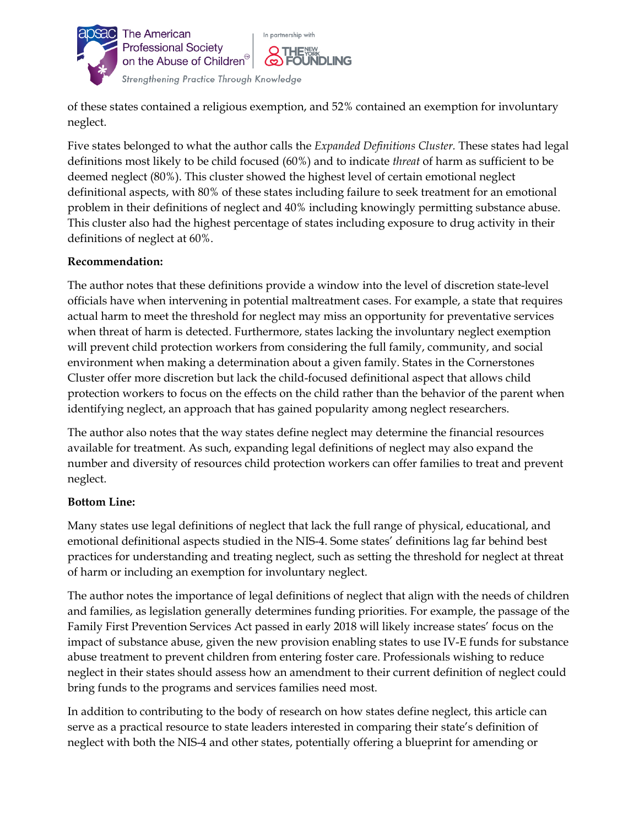

 of these states contained a religious exemption, and 52% contained an exemption for involuntary neglect.

Five states belonged to what the author calls the *Expanded Definitions Cluster.* These states had legal definitions most likely to be child focused (60%) and to indicate *threat* of harm as sufficient to be deemed neglect (80%). This cluster showed the highest level of certain emotional neglect definitional aspects, with 80% of these states including failure to seek treatment for an emotional problem in their definitions of neglect and 40% including knowingly permitting substance abuse. This cluster also had the highest percentage of states including exposure to drug activity in their definitions of neglect at 60%.

### **Recommendation:**

The author notes that these definitions provide a window into the level of discretion state-level officials have when intervening in potential maltreatment cases. For example, a state that requires actual harm to meet the threshold for neglect may miss an opportunity for preventative services when threat of harm is detected. Furthermore, states lacking the involuntary neglect exemption will prevent child protection workers from considering the full family, community, and social environment when making a determination about a given family. States in the Cornerstones Cluster offer more discretion but lack the child-focused definitional aspect that allows child protection workers to focus on the effects on the child rather than the behavior of the parent when identifying neglect, an approach that has gained popularity among neglect researchers.

The author also notes that the way states define neglect may determine the financial resources available for treatment. As such, expanding legal definitions of neglect may also expand the number and diversity of resources child protection workers can offer families to treat and prevent neglect.

#### **Bottom Line:**

Many states use legal definitions of neglect that lack the full range of physical, educational, and emotional definitional aspects studied in the NIS-4. Some states' definitions lag far behind best practices for understanding and treating neglect, such as setting the threshold for neglect at threat of harm or including an exemption for involuntary neglect.

The author notes the importance of legal definitions of neglect that align with the needs of children and families, as legislation generally determines funding priorities. For example, the passage of the Family First Prevention Services Act passed in early 2018 will likely increase states' focus on the impact of substance abuse, given the new provision enabling states to use IV-E funds for substance abuse treatment to prevent children from entering foster care. Professionals wishing to reduce neglect in their states should assess how an amendment to their current definition of neglect could bring funds to the programs and services families need most.

In addition to contributing to the body of research on how states define neglect, this article can serve as a practical resource to state leaders interested in comparing their state's definition of neglect with both the NIS-4 and other states, potentially offering a blueprint for amending or